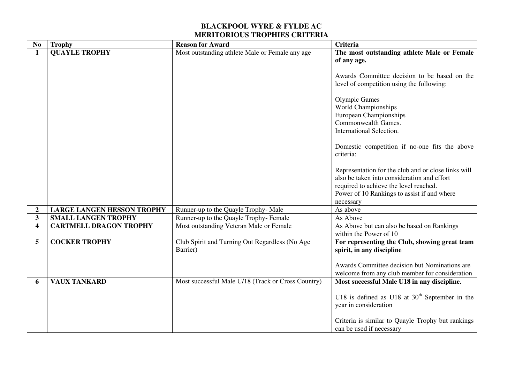| N <sub>0</sub>          | <b>Trophy</b>                     | <b>Reason for Award</b>                            | <b>Criteria</b>                                     |
|-------------------------|-----------------------------------|----------------------------------------------------|-----------------------------------------------------|
| $\mathbf{1}$            | <b>QUAYLE TROPHY</b>              | Most outstanding athlete Male or Female any age    | The most outstanding athlete Male or Female         |
|                         |                                   |                                                    | of any age.                                         |
|                         |                                   |                                                    |                                                     |
|                         |                                   |                                                    | Awards Committee decision to be based on the        |
|                         |                                   |                                                    | level of competition using the following:           |
|                         |                                   |                                                    | <b>Olympic Games</b>                                |
|                         |                                   |                                                    | World Championships                                 |
|                         |                                   |                                                    | European Championships                              |
|                         |                                   |                                                    | Commonwealth Games.                                 |
|                         |                                   |                                                    | International Selection.                            |
|                         |                                   |                                                    |                                                     |
|                         |                                   |                                                    | Domestic competition if no-one fits the above       |
|                         |                                   |                                                    | criteria:                                           |
|                         |                                   |                                                    |                                                     |
|                         |                                   |                                                    | Representation for the club and or close links will |
|                         |                                   |                                                    | also be taken into consideration and effort         |
|                         |                                   |                                                    | required to achieve the level reached.              |
|                         |                                   |                                                    | Power of 10 Rankings to assist if and where         |
|                         |                                   |                                                    | necessary                                           |
| $\boldsymbol{2}$        | <b>LARGE LANGEN HESSON TROPHY</b> | Runner-up to the Quayle Trophy-Male                | As above                                            |
| $\overline{\mathbf{3}}$ | <b>SMALL LANGEN TROPHY</b>        | Runner-up to the Quayle Trophy-Female              | As Above                                            |
| $\overline{\mathbf{4}}$ | <b>CARTMELL DRAGON TROPHY</b>     | Most outstanding Veteran Male or Female            | As Above but can also be based on Rankings          |
|                         |                                   |                                                    | within the Power of 10                              |
| 5                       | <b>COCKER TROPHY</b>              | Club Spirit and Turning Out Regardless (No Age     | For representing the Club, showing great team       |
|                         |                                   | Barrier)                                           | spirit, in any discipline                           |
|                         |                                   |                                                    |                                                     |
|                         |                                   |                                                    | Awards Committee decision but Nominations are       |
|                         |                                   |                                                    | welcome from any club member for consideration      |
| 6                       | <b>VAUX TANKARD</b>               | Most successful Male U/18 (Track or Cross Country) | Most successful Male U18 in any discipline.         |
|                         |                                   |                                                    |                                                     |
|                         |                                   |                                                    | U18 is defined as U18 at $30th$ September in the    |
|                         |                                   |                                                    | year in consideration                               |
|                         |                                   |                                                    |                                                     |
|                         |                                   |                                                    | Criteria is similar to Quayle Trophy but rankings   |
|                         |                                   |                                                    | can be used if necessary                            |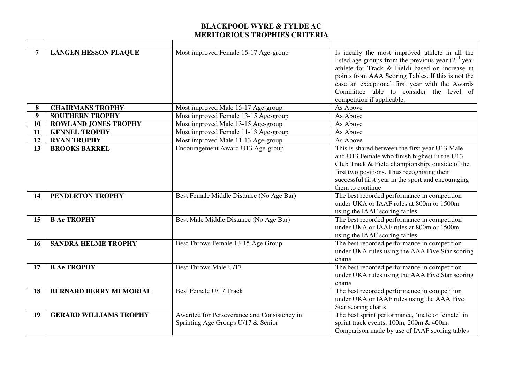| 7  | <b>LANGEN HESSON PLAQUE</b>   | Most improved Female 15-17 Age-group                                              | Is ideally the most improved athlete in all the<br>listed age groups from the previous year $(2nd$ year<br>athlete for Track & Field) based on increase in<br>points from AAA Scoring Tables. If this is not the<br>case an exceptional first year with the Awards<br>Committee able to consider the level of<br>competition if applicable. |
|----|-------------------------------|-----------------------------------------------------------------------------------|---------------------------------------------------------------------------------------------------------------------------------------------------------------------------------------------------------------------------------------------------------------------------------------------------------------------------------------------|
| 8  | <b>CHAIRMANS TROPHY</b>       | Most improved Male 15-17 Age-group                                                | As Above                                                                                                                                                                                                                                                                                                                                    |
| 9  | <b>SOUTHERN TROPHY</b>        | Most improved Female 13-15 Age-group                                              | As Above                                                                                                                                                                                                                                                                                                                                    |
| 10 | <b>ROWLAND JONES TROPHY</b>   | Most improved Male 13-15 Age-group                                                | As Above                                                                                                                                                                                                                                                                                                                                    |
| 11 | <b>KENNEL TROPHY</b>          | Most improved Female 11-13 Age-group                                              | As Above                                                                                                                                                                                                                                                                                                                                    |
| 12 | <b>RYAN TROPHY</b>            | Most improved Male 11-13 Age-group                                                | As Above                                                                                                                                                                                                                                                                                                                                    |
| 13 | <b>BROOKS BARREL</b>          | Encouragement Award U13 Age-group                                                 | This is shared between the first year U13 Male<br>and U13 Female who finish highest in the U13<br>Club Track & Field championship, outside of the<br>first two positions. Thus recognising their<br>successful first year in the sport and encouraging<br>them to continue                                                                  |
| 14 | PENDLETON TROPHY              | Best Female Middle Distance (No Age Bar)                                          | The best recorded performance in competition<br>under UKA or IAAF rules at 800m or 1500m<br>using the IAAF scoring tables                                                                                                                                                                                                                   |
| 15 | <b>B Ae TROPHY</b>            | Best Male Middle Distance (No Age Bar)                                            | The best recorded performance in competition<br>under UKA or IAAF rules at 800m or 1500m<br>using the IAAF scoring tables                                                                                                                                                                                                                   |
| 16 | <b>SANDRA HELME TROPHY</b>    | Best Throws Female 13-15 Age Group                                                | The best recorded performance in competition<br>under UKA rules using the AAA Five Star scoring<br>charts                                                                                                                                                                                                                                   |
| 17 | <b>B Ae TROPHY</b>            | <b>Best Throws Male U/17</b>                                                      | The best recorded performance in competition<br>under UKA rules using the AAA Five Star scoring<br>charts                                                                                                                                                                                                                                   |
| 18 | <b>BERNARD BERRY MEMORIAL</b> | Best Female U/17 Track                                                            | The best recorded performance in competition<br>under UKA or IAAF rules using the AAA Five<br>Star scoring charts                                                                                                                                                                                                                           |
| 19 | <b>GERARD WILLIAMS TROPHY</b> | Awarded for Perseverance and Consistency in<br>Sprinting Age Groups U/17 & Senior | The best sprint performance, 'male or female' in<br>sprint track events, 100m, 200m & 400m.<br>Comparison made by use of IAAF scoring tables                                                                                                                                                                                                |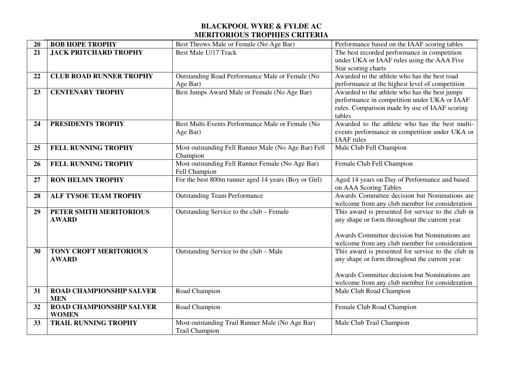| 20 | <b>BOB HOPE TROPHY</b>          | Best Throws Male or Female (No Age Bar)              | Performance based on the IAAF scoring tables                                                  |
|----|---------------------------------|------------------------------------------------------|-----------------------------------------------------------------------------------------------|
| 21 | <b>JACK PRITCHARD TROPHY</b>    | <b>Best Male U/17 Track</b>                          | The best recorded performance in competition                                                  |
|    |                                 |                                                      | under UKA or IAAF rules using the AAA Five                                                    |
|    |                                 |                                                      | Star scoring charts                                                                           |
| 22 | <b>CLUB ROAD RUNNER TROPHY</b>  | Outstanding Road Performance Male or Female (No      | Awarded to the athlete who has the best road                                                  |
|    |                                 | Age Bar)                                             | performance at the highest level of competition                                               |
| 23 | <b>CENTENARY TROPHY</b>         | Best Jumps Award Male or Female (No Age Bar)         | Awarded to the athlete who has the best jumps<br>performance in competition under UKA or IAAF |
|    |                                 |                                                      | rules. Comparison made by use of IAAF scoring                                                 |
|    |                                 |                                                      | tables                                                                                        |
| 24 | PRESIDENTS TROPHY               | Best Multi-Events Performance Male or Female (No     | Awarded to the athlete who has the best multi-                                                |
|    |                                 | Age Bar)                                             | events performance in competition under UKA or                                                |
|    |                                 |                                                      | <b>IAAF</b> rules                                                                             |
| 25 | <b>FELL RUNNING TROPHY</b>      | Most outstanding Fell Runner Male (No Age Bar) Fell  | Male Club Fell Champion                                                                       |
|    |                                 | Champion                                             |                                                                                               |
| 26 | FELL RUNNING TROPHY             | Most outstanding Fell Runner Female (No Age Bar)     | Female Club Fell Champion                                                                     |
|    |                                 | Fell Champion                                        |                                                                                               |
| 27 | <b>RON HELMN TROPHY</b>         | For the best 800m runner aged 14 years (Boy or Girl) | Aged 14 years on Day of Performance and based                                                 |
|    |                                 |                                                      | on AAA Scoring Tables                                                                         |
| 28 | <b>ALF TYSOE TEAM TROPHY</b>    | <b>Outstanding Team Performance</b>                  | Awards Committee decision but Nominations are                                                 |
|    |                                 |                                                      | welcome from any club member for consideration                                                |
| 29 | PETER SMITH MERITORIOUS         | Outstanding Service to the club - Female             | This award is presented for service to the club in                                            |
|    | <b>AWARD</b>                    |                                                      | any shape or form throughout the current year                                                 |
|    |                                 |                                                      | Awards Committee decision but Nominations are                                                 |
|    |                                 |                                                      | welcome from any club member for consideration                                                |
| 30 | <b>TONY CROFT MERITORIOUS</b>   | Outstanding Service to the club - Male               | This award is presented for service to the club in                                            |
|    | <b>AWARD</b>                    |                                                      | any shape or form throughout the current year                                                 |
|    |                                 |                                                      |                                                                                               |
|    |                                 |                                                      | Awards Committee decision but Nominations are                                                 |
|    |                                 |                                                      | welcome from any club member for consideration                                                |
| 31 | <b>ROAD CHAMPIONSHIP SALVER</b> | Road Champion                                        | Male Club Road Champion                                                                       |
|    | <b>MEN</b>                      |                                                      |                                                                                               |
| 32 | <b>ROAD CHAMPIONSHIP SALVER</b> | Road Champion                                        | Female Club Road Champion                                                                     |
|    | <b>WOMEN</b>                    |                                                      |                                                                                               |
| 33 | <b>TRAIL RUNNING TROPHY</b>     | Most outstanding Trail Runner Male (No Age Bar)      | Male Club Trail Champion                                                                      |
|    |                                 | Trail Champion                                       |                                                                                               |